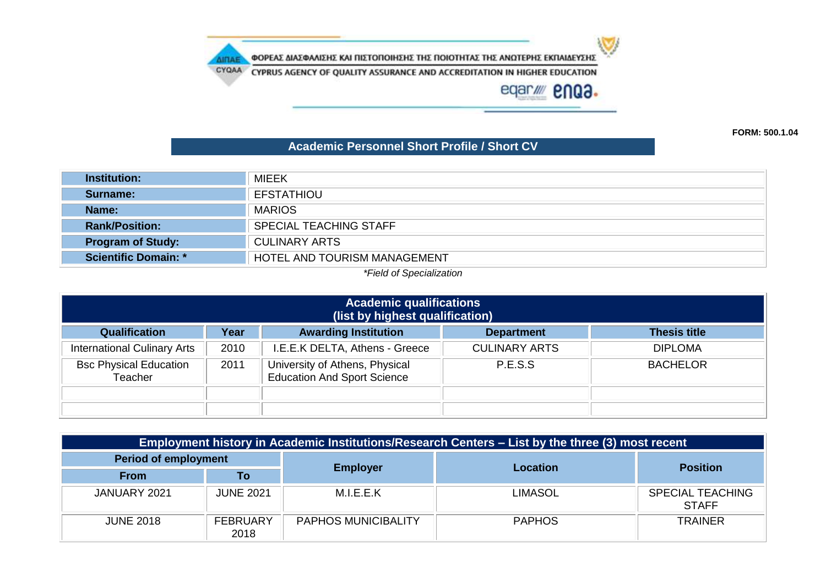ΦΟΡΕΑΣ ΔΙΑΣΦΑΛΙΣΗΣ ΚΑΙ ΠΙΣΤΟΠΟΙΗΣΗΣ ΤΗΣ ΠΟΙΟΤΗΤΑΣ ΤΗΣ ΑΝΩΤΕΡΗΣ ΕΚΠΑΙΔΕΥΣΗΣ

CYQAA CYPRUS AGENCY OF QUALITY ASSURANCE AND ACCREDITATION IN HIGHER EDUCATION

**AIRAE** 

eqar/ enQ3.

 $\mathbf{U}$ 

**FORM: 500.1.04**

## **Academic Personnel Short Profile / Short CV**

| <b>Institution:</b>                                         | <b>MIEEK</b>                  |  |  |  |
|-------------------------------------------------------------|-------------------------------|--|--|--|
| Surname:                                                    | <b>EFSTATHIOU</b>             |  |  |  |
| Name:                                                       | <b>MARIOS</b>                 |  |  |  |
| <b>Rank/Position:</b>                                       | <b>SPECIAL TEACHING STAFF</b> |  |  |  |
| <b>CULINARY ARTS</b><br><b>Program of Study:</b>            |                               |  |  |  |
| <b>Scientific Domain: *</b><br>HOTEL AND TOURISM MANAGEMENT |                               |  |  |  |
| *Field of Specialization                                    |                               |  |  |  |

| <b>Academic qualifications</b><br>(list by highest qualification)                                |      |                                                                      |                      |                 |  |  |
|--------------------------------------------------------------------------------------------------|------|----------------------------------------------------------------------|----------------------|-----------------|--|--|
| <b>Awarding Institution</b><br>Qualification<br><b>Thesis title</b><br>Year<br><b>Department</b> |      |                                                                      |                      |                 |  |  |
| <b>International Culinary Arts</b>                                                               | 2010 | I.E.E.K DELTA, Athens - Greece                                       | <b>CULINARY ARTS</b> | <b>DIPLOMA</b>  |  |  |
| <b>Bsc Physical Education</b><br>Teacher                                                         | 2011 | University of Athens, Physical<br><b>Education And Sport Science</b> | P.E.S.S              | <b>BACHELOR</b> |  |  |
|                                                                                                  |      |                                                                      |                      |                 |  |  |
|                                                                                                  |      |                                                                      |                      |                 |  |  |

| Employment history in Academic Institutions/Research Centers – List by the three (3) most recent |                         |                            |               |                                         |  |
|--------------------------------------------------------------------------------------------------|-------------------------|----------------------------|---------------|-----------------------------------------|--|
| <b>Period of employment</b>                                                                      |                         |                            |               | <b>Position</b>                         |  |
| <b>From</b>                                                                                      | To                      | <b>Employer</b>            | Location      |                                         |  |
| JANUARY 2021                                                                                     | <b>JUNE 2021</b>        | M.LE.E.K                   | LIMASOL       | <b>SPECIAL TEACHING</b><br><b>STAFF</b> |  |
| <b>JUNE 2018</b>                                                                                 | <b>FEBRUARY</b><br>2018 | <b>PAPHOS MUNICIBALITY</b> | <b>PAPHOS</b> | <b>TRAINER</b>                          |  |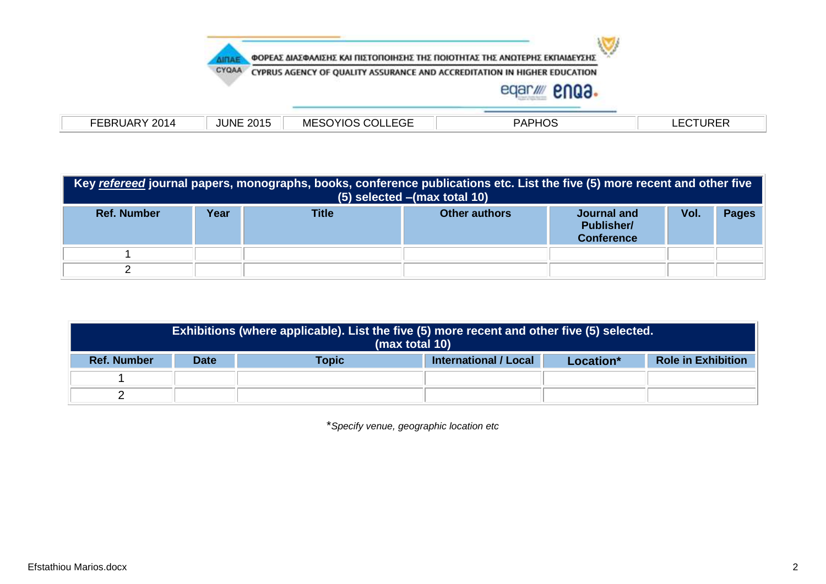

## eqar/ **2003.**

| 2014<br>חה<br>_DF.<br>71 | <b>JUNE</b><br>2015 | $  -$<br>MES $^{\circ}$<br>COLI<br>זענ<br>.EGE<br>റ∪<br>10 J. | PAPHO <sup>r</sup> | <b>URER</b><br>. . |
|--------------------------|---------------------|---------------------------------------------------------------|--------------------|--------------------|
|                          |                     |                                                               |                    |                    |

| Key refereed journal papers, monographs, books, conference publications etc. List the five (5) more recent and other five<br>(5) selected - (max total 10) |      |       |                      |                                                       |      |              |
|------------------------------------------------------------------------------------------------------------------------------------------------------------|------|-------|----------------------|-------------------------------------------------------|------|--------------|
| <b>Ref. Number</b>                                                                                                                                         | Year | Title | <b>Other authors</b> | Journal and<br><b>Publisher/</b><br><b>Conference</b> | Vol. | <b>Pages</b> |
|                                                                                                                                                            |      |       |                      |                                                       |      |              |
|                                                                                                                                                            |      |       |                      |                                                       |      |              |

|                    | <b>Exhibitions (where applicable). List the five (5) more recent and other five (5) selected.</b><br>(max total 10) |  |  |  |  |  |
|--------------------|---------------------------------------------------------------------------------------------------------------------|--|--|--|--|--|
| <b>Ref. Number</b> | <b>Role in Exhibition</b><br><b>International / Local</b><br><b>Date</b><br><b>Topic</b><br>Location*               |  |  |  |  |  |
|                    |                                                                                                                     |  |  |  |  |  |
|                    |                                                                                                                     |  |  |  |  |  |

\**Specify venue, geographic location etc*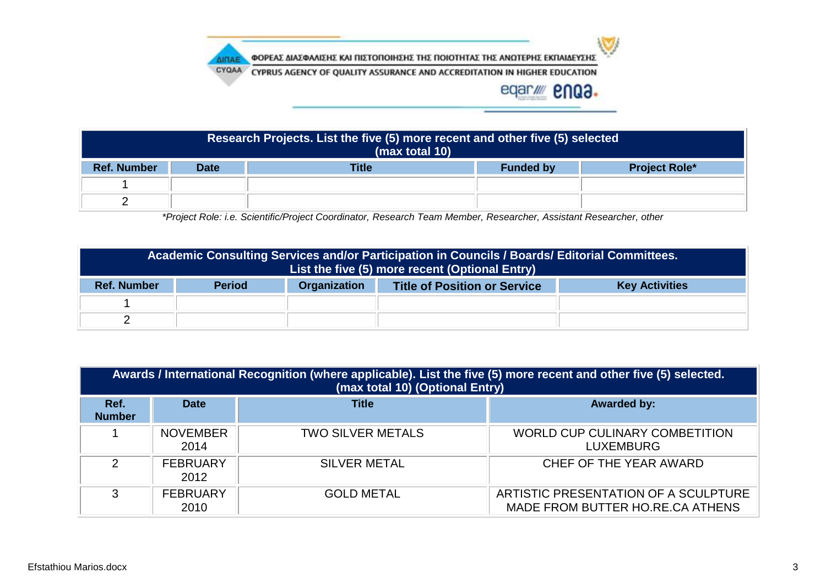

يون

eqar/ enQ3.



*\*Project Role: i.e. Scientific/Project Coordinator, Research Team Member, Researcher, Assistant Researcher, other*

|                    | Academic Consulting Services and/or Participation in Councils / Boards/ Editorial Committees.<br>List the five (5) more recent (Optional Entry) |  |  |  |  |
|--------------------|-------------------------------------------------------------------------------------------------------------------------------------------------|--|--|--|--|
| <b>Ref. Number</b> | Organization<br><b>Period</b><br><b>Title of Position or Service</b><br><b>Key Activities</b>                                                   |  |  |  |  |
|                    |                                                                                                                                                 |  |  |  |  |
|                    |                                                                                                                                                 |  |  |  |  |

| Awards / International Recognition (where applicable). List the five (5) more recent and other five (5) selected.<br>(max total 10) (Optional Entry) |                         |                          |                                                                          |  |  |  |
|------------------------------------------------------------------------------------------------------------------------------------------------------|-------------------------|--------------------------|--------------------------------------------------------------------------|--|--|--|
| Ref.<br><b>Number</b>                                                                                                                                | <b>Date</b>             | <b>Title</b>             | <b>Awarded by:</b>                                                       |  |  |  |
|                                                                                                                                                      | <b>NOVEMBER</b><br>2014 | <b>TWO SILVER METALS</b> | <b>WORLD CUP CULINARY COMBETITION</b><br><b>LUXEMBURG</b>                |  |  |  |
| $\mathcal{P}$                                                                                                                                        | <b>FEBRUARY</b><br>2012 | <b>SILVER METAL</b>      | CHEF OF THE YEAR AWARD                                                   |  |  |  |
| 3                                                                                                                                                    | <b>FEBRUARY</b><br>2010 | <b>GOLD METAL</b>        | ARTISTIC PRESENTATION OF A SCULPTURE<br>MADE FROM BUTTER HO.RE.CA ATHENS |  |  |  |